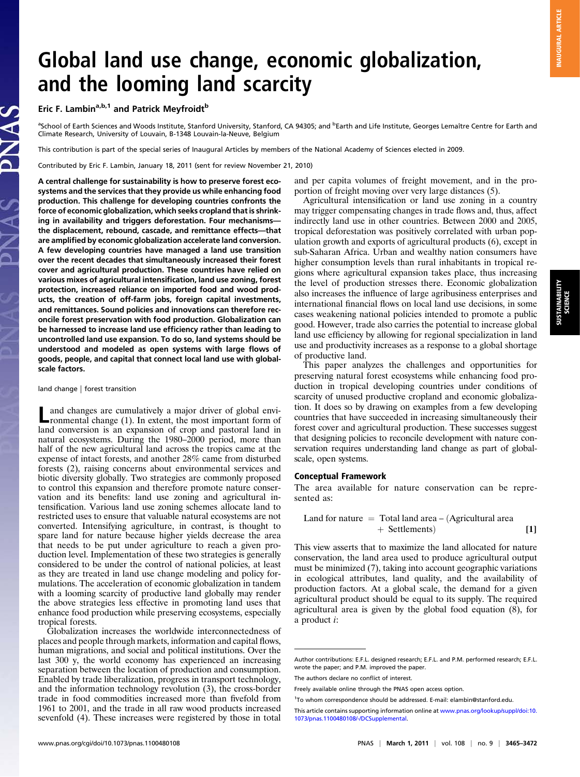# Global land use change, economic globalization, and the looming land scarcity

Eric F. Lambin<sup>a,b,1</sup> and Patrick Meyfroidt<sup>b</sup>

<sup>a</sup>School of Earth Sciences and Woods Institute, Stanford University, Stanford, CA 94305; and <sup>b</sup>Earth and Life Institute, Georges Lemaître Centre for Earth and Climate Research, University of Louvain, B-1348 Louvain-la-Neuve, Belgium

This contribution is part of the special series of Inaugural Articles by members of the National Academy of Sciences elected in 2009.

Contributed by Eric F. Lambin, January 18, 2011 (sent for review November 21, 2010)

A central challenge for sustainability is how to preserve forest ecosystems and the services that they provide us while enhancing food production. This challenge for developing countries confronts the force of economic globalization, which seeks cropland that is shrinking in availability and triggers deforestation. Four mechanisms the displacement, rebound, cascade, and remittance effects—that are amplified by economic globalization accelerate land conversion. A few developing countries have managed a land use transition over the recent decades that simultaneously increased their forest cover and agricultural production. These countries have relied on various mixes of agricultural intensification, land use zoning, forest protection, increased reliance on imported food and wood products, the creation of off-farm jobs, foreign capital investments, and remittances. Sound policies and innovations can therefore reconcile forest preservation with food production. Globalization can be harnessed to increase land use efficiency rather than leading to uncontrolled land use expansion. To do so, land systems should be understood and modeled as open systems with large flows of goods, people, and capital that connect local land use with globalscale factors.

land change | forest transition

Land changes are cumulatively a major driver of global envi-ronmental change (1). In extent, the most important form of land conversion is an expansion of crop and pastoral land in natural ecosystems. During the 1980–2000 period, more than half of the new agricultural land across the tropics came at the expense of intact forests, and another 28% came from disturbed forests (2), raising concerns about environmental services and biotic diversity globally. Two strategies are commonly proposed to control this expansion and therefore promote nature conservation and its benefits: land use zoning and agricultural intensification. Various land use zoning schemes allocate land to restricted uses to ensure that valuable natural ecosystems are not converted. Intensifying agriculture, in contrast, is thought to spare land for nature because higher yields decrease the area that needs to be put under agriculture to reach a given production level. Implementation of these two strategies is generally considered to be under the control of national policies, at least as they are treated in land use change modeling and policy formulations. The acceleration of economic globalization in tandem with a looming scarcity of productive land globally may render the above strategies less effective in promoting land uses that enhance food production while preserving ecosystems, especially tropical forests.

Globalization increases the worldwide interconnectedness of places and people through markets, information and capital flows, human migrations, and social and political institutions. Over the last 300 y, the world economy has experienced an increasing separation between the location of production and consumption. Enabled by trade liberalization, progress in transport technology, and the information technology revolution (3), the cross-border trade in food commodities increased more than fivefold from 1961 to 2001, and the trade in all raw wood products increased sevenfold (4). These increases were registered by those in total and per capita volumes of freight movement, and in the proportion of freight moving over very large distances (5).

Agricultural intensification or land use zoning in a country may trigger compensating changes in trade flows and, thus, affect indirectly land use in other countries. Between 2000 and 2005, tropical deforestation was positively correlated with urban population growth and exports of agricultural products (6), except in sub-Saharan Africa. Urban and wealthy nation consumers have higher consumption levels than rural inhabitants in tropical regions where agricultural expansion takes place, thus increasing the level of production stresses there. Economic globalization also increases the influence of large agribusiness enterprises and international financial flows on local land use decisions, in some cases weakening national policies intended to promote a public good. However, trade also carries the potential to increase global land use efficiency by allowing for regional specialization in land use and productivity increases as a response to a global shortage of productive land.

This paper analyzes the challenges and opportunities for preserving natural forest ecosystems while enhancing food production in tropical developing countries under conditions of scarcity of unused productive cropland and economic globalization. It does so by drawing on examples from a few developing countries that have succeeded in increasing simultaneously their forest cover and agricultural production. These successes suggest that designing policies to reconcile development with nature conservation requires understanding land change as part of globalscale, open systems.

## Conceptual Framework

The area available for nature conservation can be represented as:

Land for nature ¼ Total land area – ðAgricultural area þ SettlementsÞ [1]

This view asserts that to maximize the land allocated for nature conservation, the land area used to produce agricultural output must be minimized (7), taking into account geographic variations in ecological attributes, land quality, and the availability of production factors. At a global scale, the demand for a given agricultural product should be equal to its supply. The required agricultural area is given by the global food equation (8), for a product i:

Author contributions: E.F.L. designed research; E.F.L. and P.M. performed research; E.F.L. wrote the paper; and P.M. improved the paper.

The authors declare no conflict of interest.

Freely available online through the PNAS open access option.

<sup>&</sup>lt;sup>1</sup>To whom correspondence should be addressed. E-mail: [elambin@stanford.edu.](mailto:elambin@stanford.edu)

This article contains supporting information online at [www.pnas.org/lookup/suppl/doi:10.](http://www.pnas.org/lookup/suppl/doi:10.1073/pnas.1100480108/-/DCSupplemental) [1073/pnas.1100480108/-/DCSupplemental](http://www.pnas.org/lookup/suppl/doi:10.1073/pnas.1100480108/-/DCSupplemental).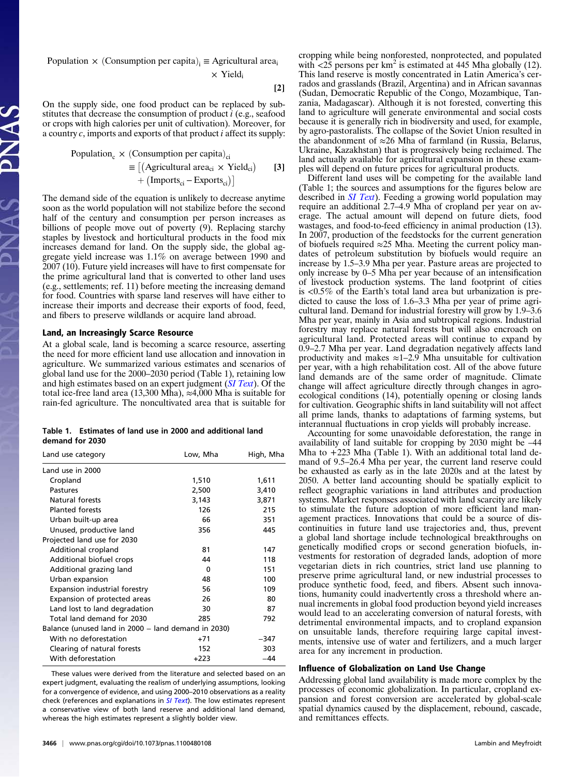Population × (Consumption per capita) $_i \equiv$  Agricultural area $_i$ 

 $\times$  Yield<sub>i</sub>

[2]

On the supply side, one food product can be replaced by substitutes that decrease the consumption of product  $i$  (e.g., seafood or crops with high calories per unit of cultivation). Moreover, for a country  $c$ , imports and exports of that product  $i$  affect its supply:

Population<sub>c</sub> × (Consumption per capita)<sub>ci</sub>  
\n
$$
\equiv [(Agricultural areaci × Yieldci) [3]
$$
\n
$$
+ (Importsci - Exportsci)]
$$

The demand side of the equation is unlikely to decrease anytime soon as the world population will not stabilize before the second half of the century and consumption per person increases as billions of people move out of poverty (9). Replacing starchy staples by livestock and horticultural products in the food mix increases demand for land. On the supply side, the global aggregate yield increase was 1.1% on average between 1990 and 2007 (10). Future yield increases will have to first compensate for the prime agricultural land that is converted to other land uses (e.g., settlements; ref. 11) before meeting the increasing demand for food. Countries with sparse land reserves will have either to increase their imports and decrease their exports of food, feed, and fibers to preserve wildlands or acquire land abroad.

# Land, an Increasingly Scarce Resource

At a global scale, land is becoming a scarce resource, asserting the need for more efficient land use allocation and innovation in agriculture. We summarized various estimates and scenarios of global land use for the 2000–2030 period (Table 1), retaining low and high estimates based on an expert judgment ([SI Text](http://www.pnas.org/lookup/suppl/doi:10.1073/pnas.1100480108/-/DCSupplemental/pnas.201100480SI.pdf?targetid=nameddest=STXT)). Of the total ice-free land area (13,300 Mha), ≈4,000 Mha is suitable for rain-fed agriculture. The noncultivated area that is suitable for

|                 |  |  |  | Table 1. Estimates of land use in 2000 and additional land |  |
|-----------------|--|--|--|------------------------------------------------------------|--|
| demand for 2030 |  |  |  |                                                            |  |

| Land use category                                   | Low, Mha | High, Mha |
|-----------------------------------------------------|----------|-----------|
| Land use in 2000                                    |          |           |
| Cropland                                            | 1,510    | 1,611     |
| Pastures                                            | 2,500    | 3,410     |
| Natural forests                                     | 3,143    | 3,871     |
| <b>Planted forests</b>                              | 126      | 215       |
| Urban built-up area                                 | 66       | 351       |
| Unused, productive land                             | 356      | 445       |
| Projected land use for 2030                         |          |           |
| Additional cropland                                 | 81       | 147       |
| Additional biofuel crops                            | 44       | 118       |
| Additional grazing land                             | $\Omega$ | 151       |
| Urban expansion                                     | 48       | 100       |
| Expansion industrial forestry                       | 56       | 109       |
| Expansion of protected areas                        | 26       | 80        |
| Land lost to land degradation                       | 30       | 87        |
| Total land demand for 2030                          | 285      | 792       |
| Balance (unused land in 2000 - land demand in 2030) |          |           |
| With no deforestation                               | $+71$    | $-347$    |
| Clearing of natural forests                         | 152      | 303       |
| With deforestation                                  | $+223$   | $-44$     |

These values were derived from the literature and selected based on an expert judgment, evaluating the realism of underlying assumptions, looking for a convergence of evidence, and using 2000–2010 observations as a reality check (references and explanations in [SI Text](http://www.pnas.org/lookup/suppl/doi:10.1073/pnas.1100480108/-/DCSupplemental/pnas.201100480SI.pdf?targetid=nameddest=STXT)). The low estimates represent a conservative view of both land reserve and additional land demand, whereas the high estimates represent a slightly bolder view.

cropping while being nonforested, nonprotected, and populated with  $\langle 25 \rangle$  persons per km<sup>2</sup> is estimated at 445 Mha globally (12). This land reserve is mostly concentrated in Latin America's cerrados and grasslands (Brazil, Argentina) and in African savannas (Sudan, Democratic Republic of the Congo, Mozambique, Tanzania, Madagascar). Although it is not forested, converting this land to agriculture will generate environmental and social costs because it is generally rich in biodiversity and used, for example, by agro-pastoralists. The collapse of the Soviet Union resulted in the abandonment of  $\approx 26$  Mha of farmland (in Russia, Belarus, Ukraine, Kazakhstan) that is progressively being reclaimed. The land actually available for agricultural expansion in these examples will depend on future prices for agricultural products.

Different land uses will be competing for the available land (Table 1; the sources and assumptions for the figures below are described in *[SI Text](http://www.pnas.org/lookup/suppl/doi:10.1073/pnas.1100480108/-/DCSupplemental/pnas.201100480SI.pdf?targetid=nameddest=STXT)*). Feeding a growing world population may require an additional 2.7–4.9 Mha of cropland per year on average. The actual amount will depend on future diets, food wastages, and food-to-feed efficiency in animal production (13). In 2007, production of the feedstocks for the current generation of biofuels required  $\approx$ 25 Mha. Meeting the current policy mandates of petroleum substitution by biofuels would require an increase by 1.5–3.9 Mha per year. Pasture areas are projected to only increase by 0–5 Mha per year because of an intensification of livestock production systems. The land footprint of cities is <0.5% of the Earth's total land area but urbanization is predicted to cause the loss of 1.6–3.3 Mha per year of prime agricultural land. Demand for industrial forestry will grow by 1.9–3.6 Mha per year, mainly in Asia and subtropical regions. Industrial forestry may replace natural forests but will also encroach on agricultural land. Protected areas will continue to expand by 0.9–2.7 Mha per year. Land degradation negatively affects land productivity and makes  $\approx$ 1–2.9 Mha unsuitable for cultivation per year, with a high rehabilitation cost. All of the above future land demands are of the same order of magnitude. Climate change will affect agriculture directly through changes in agroecological conditions (14), potentially opening or closing lands for cultivation. Geographic shifts in land suitability will not affect all prime lands, thanks to adaptations of farming systems, but interannual fluctuations in crop yields will probably increase.

Accounting for some unavoidable deforestation, the range in availability of land suitable for cropping by 2030 might be –44 Mha to +223 Mha (Table 1). With an additional total land demand of 9.5–26.4 Mha per year, the current land reserve could be exhausted as early as in the late 2020s and at the latest by 2050. A better land accounting should be spatially explicit to reflect geographic variations in land attributes and production systems. Market responses associated with land scarcity are likely to stimulate the future adoption of more efficient land management practices. Innovations that could be a source of discontinuities in future land use trajectories and, thus, prevent a global land shortage include technological breakthroughs on genetically modified crops or second generation biofuels, investments for restoration of degraded lands, adoption of more vegetarian diets in rich countries, strict land use planning to preserve prime agricultural land, or new industrial processes to produce synthetic food, feed, and fibers. Absent such innovations, humanity could inadvertently cross a threshold where annual increments in global food production beyond yield increases would lead to an accelerating conversion of natural forests, with detrimental environmental impacts, and to cropland expansion on unsuitable lands, therefore requiring large capital investments, intensive use of water and fertilizers, and a much larger area for any increment in production.

## Influence of Globalization on Land Use Change

Addressing global land availability is made more complex by the processes of economic globalization. In particular, cropland expansion and forest conversion are accelerated by global-scale spatial dynamics caused by the displacement, rebound, cascade, and remittances effects.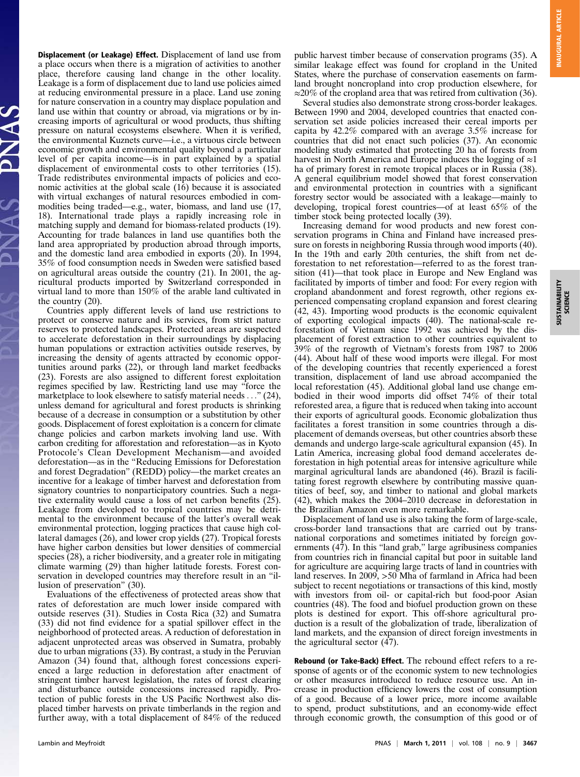Displacement (or Leakage) Effect. Displacement of land use from a place occurs when there is a migration of activities to another place, therefore causing land change in the other locality. Leakage is a form of displacement due to land use policies aimed at reducing environmental pressure in a place. Land use zoning for nature conservation in a country may displace population and land use within that country or abroad, via migrations or by increasing imports of agricultural or wood products, thus shifting pressure on natural ecosystems elsewhere. When it is verified, the environmental Kuznets curve—i.e., a virtuous circle between economic growth and environmental quality beyond a particular level of per capita income—is in part explained by a spatial displacement of environmental costs to other territories (15). Trade redistributes environmental impacts of policies and economic activities at the global scale (16) because it is associated with virtual exchanges of natural resources embodied in commodities being traded—e.g., water, biomass, and land use (17, 18). International trade plays a rapidly increasing role in matching supply and demand for biomass-related products (19). Accounting for trade balances in land use quantifies both the land area appropriated by production abroad through imports, and the domestic land area embodied in exports (20). In 1994, 35% of food consumption needs in Sweden were satisfied based on agricultural areas outside the country (21). In 2001, the agricultural products imported by Switzerland corresponded in virtual land to more than 150% of the arable land cultivated in the country (20).

Countries apply different levels of land use restrictions to protect or conserve nature and its services, from strict nature reserves to protected landscapes. Protected areas are suspected to accelerate deforestation in their surroundings by displacing human populations or extraction activities outside reserves, by increasing the density of agents attracted by economic opportunities around parks (22), or through land market feedbacks (23). Forests are also assigned to different forest exploitation regimes specified by law. Restricting land use may "force the marketplace to look elsewhere to satisfy material needs ..." (24), unless demand for agricultural and forest products is shrinking because of a decrease in consumption or a substitution by other goods. Displacement of forest exploitation is a concern for climate change policies and carbon markets involving land use. With carbon crediting for afforestation and reforestation—as in Kyoto Protocole's Clean Development Mechanism—and avoided deforestation—as in the "Reducing Emissions for Deforestation and forest Degradation" (REDD) policy—the market creates an incentive for a leakage of timber harvest and deforestation from signatory countries to nonparticipatory countries. Such a negative externality would cause a loss of net carbon benefits (25). Leakage from developed to tropical countries may be detrimental to the environment because of the latter's overall weak environmental protection, logging practices that cause high collateral damages (26), and lower crop yields (27). Tropical forests have higher carbon densities but lower densities of commercial species  $(28)$ , a richer biodiversity, and a greater role in mitigating climate warming (29) than higher latitude forests. Forest conservation in developed countries may therefore result in an "illusion of preservation" (30).

Evaluations of the effectiveness of protected areas show that rates of deforestation are much lower inside compared with outside reserves (31). Studies in Costa Rica (32) and Sumatra (33) did not find evidence for a spatial spillover effect in the neighborhood of protected areas. A reduction of deforestation in adjacent unprotected areas was observed in Sumatra, probably due to urban migrations (33). By contrast, a study in the Peruvian Amazon (34) found that, although forest concessions experienced a large reduction in deforestation after enactment of stringent timber harvest legislation, the rates of forest clearing and disturbance outside concessions increased rapidly. Protection of public forests in the US Pacific Northwest also displaced timber harvests on private timberlands in the region and further away, with a total displacement of 84% of the reduced public harvest timber because of conservation programs (35). A similar leakage effect was found for cropland in the United States, where the purchase of conservation easements on farmland brought noncropland into crop production elsewhere, for ≈20% of the cropland area that was retired from cultivation (36).

Several studies also demonstrate strong cross-border leakages. Between 1990 and 2004, developed countries that enacted conservation set aside policies increased their cereal imports per capita by 42.2% compared with an average 3.5% increase for countries that did not enact such policies (37). An economic modeling study estimated that protecting 20 ha of forests from harvest in North America and Europe induces the logging of  $\approx$ 1 ha of primary forest in remote tropical places or in Russia (38). A general equilibrium model showed that forest conservation and environmental protection in countries with a significant forestry sector would be associated with a leakage—mainly to developing, tropical forest countries—of at least 65% of the timber stock being protected locally (39).

Increasing demand for wood products and new forest conservation programs in China and Finland have increased pressure on forests in neighboring Russia through wood imports (40). In the 19th and early 20th centuries, the shift from net deforestation to net reforestation—referred to as the forest transition (41)—that took place in Europe and New England was facilitated by imports of timber and food: For every region with cropland abandonment and forest regrowth, other regions experienced compensating cropland expansion and forest clearing (42, 43). Importing wood products is the economic equivalent of exporting ecological impacts (40). The national-scale reforestation of Vietnam since 1992 was achieved by the displacement of forest extraction to other countries equivalent to 39% of the regrowth of Vietnam's forests from 1987 to 2006 (44). About half of these wood imports were illegal. For most of the developing countries that recently experienced a forest transition, displacement of land use abroad accompanied the local reforestation (45). Additional global land use change embodied in their wood imports did offset 74% of their total reforested area, a figure that is reduced when taking into account their exports of agricultural goods. Economic globalization thus facilitates a forest transition in some countries through a displacement of demands overseas, but other countries absorb these demands and undergo large-scale agricultural expansion (45). In Latin America, increasing global food demand accelerates deforestation in high potential areas for intensive agriculture while marginal agricultural lands are abandoned (46). Brazil is facilitating forest regrowth elsewhere by contributing massive quantities of beef, soy, and timber to national and global markets (42), which makes the 2004–2010 decrease in deforestation in the Brazilian Amazon even more remarkable.

Displacement of land use is also taking the form of large-scale, cross-border land transactions that are carried out by transnational corporations and sometimes initiated by foreign governments  $(47)$ . In this "land grab," large agribusiness companies from countries rich in financial capital but poor in suitable land for agriculture are acquiring large tracts of land in countries with land reserves. In 2009, >50 Mha of farmland in Africa had been subject to recent negotiations or transactions of this kind, mostly with investors from oil- or capital-rich but food-poor Asian countries (48). The food and biofuel production grown on these plots is destined for export. This off-shore agricultural production is a result of the globalization of trade, liberalization of land markets, and the expansion of direct foreign investments in the agricultural sector  $(47)$ .

Rebound (or Take-Back) Effect. The rebound effect refers to a response of agents or of the economic system to new technologies or other measures introduced to reduce resource use. An increase in production efficiency lowers the cost of consumption of a good. Because of a lower price, more income available to spend, product substitutions, and an economy-wide effect through economic growth, the consumption of this good or of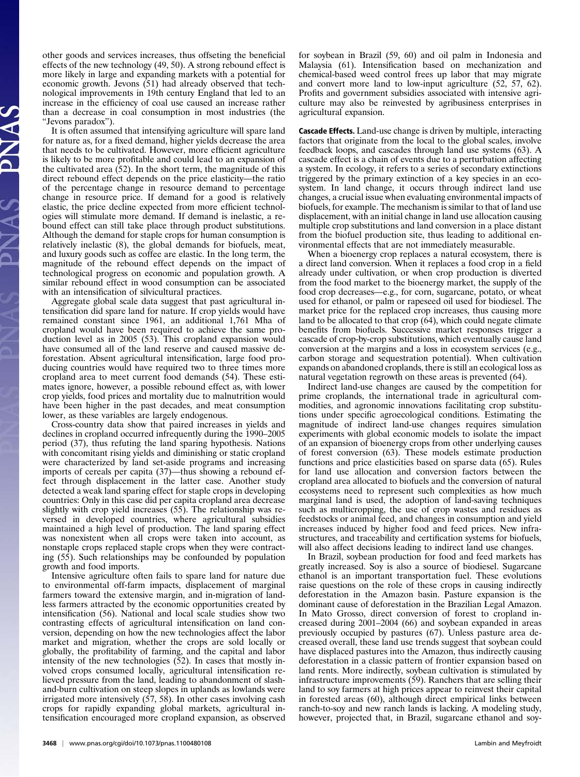other goods and services increases, thus offseting the beneficial effects of the new technology (49, 50). A strong rebound effect is more likely in large and expanding markets with a potential for economic growth. Jevons (51) had already observed that technological improvements in 19th century England that led to an increase in the efficiency of coal use caused an increase rather than a decrease in coal consumption in most industries (the "Jevons paradox").

It is often assumed that intensifying agriculture will spare land for nature as, for a fixed demand, higher yields decrease the area that needs to be cultivated. However, more efficient agriculture is likely to be more profitable and could lead to an expansion of the cultivated area (52). In the short term, the magnitude of this direct rebound effect depends on the price elasticity—the ratio of the percentage change in resource demand to percentage change in resource price. If demand for a good is relatively elastic, the price decline expected from more efficient technologies will stimulate more demand. If demand is inelastic, a rebound effect can still take place through product substitutions. Although the demand for staple crops for human consumption is relatively inelastic (8), the global demands for biofuels, meat, and luxury goods such as coffee are elastic. In the long term, the magnitude of the rebound effect depends on the impact of technological progress on economic and population growth. A similar rebound effect in wood consumption can be associated with an intensification of silvicultural practices.

Aggregate global scale data suggest that past agricultural intensification did spare land for nature. If crop yields would have remained constant since 1961, an additional 1,761 Mha of cropland would have been required to achieve the same production level as in 2005 (53). This cropland expansion would have consumed all of the land reserve and caused massive deforestation. Absent agricultural intensification, large food producing countries would have required two to three times more cropland area to meet current food demands (54). These estimates ignore, however, a possible rebound effect as, with lower crop yields, food prices and mortality due to malnutrition would have been higher in the past decades, and meat consumption lower, as these variables are largely endogenous.

Cross-country data show that paired increases in yields and declines in cropland occurred infrequently during the 1990–2005 period (37), thus refuting the land sparing hypothesis. Nations with concomitant rising yields and diminishing or static cropland were characterized by land set-aside programs and increasing imports of cereals per capita (37)—thus showing a rebound effect through displacement in the latter case. Another study detected a weak land sparing effect for staple crops in developing countries: Only in this case did per capita cropland area decrease slightly with crop yield increases (55). The relationship was reversed in developed countries, where agricultural subsidies maintained a high level of production. The land sparing effect was nonexistent when all crops were taken into account, as nonstaple crops replaced staple crops when they were contracting (55). Such relationships may be confounded by population growth and food imports.

Intensive agriculture often fails to spare land for nature due to environmental off-farm impacts, displacement of marginal farmers toward the extensive margin, and in-migration of landless farmers attracted by the economic opportunities created by intensification (56). National and local scale studies show two contrasting effects of agricultural intensification on land conversion, depending on how the new technologies affect the labor market and migration, whether the crops are sold locally or globally, the profitability of farming, and the capital and labor intensity of the new technologies (52). In cases that mostly involved crops consumed locally, agricultural intensification relieved pressure from the land, leading to abandonment of slashand-burn cultivation on steep slopes in uplands as lowlands were irrigated more intensively  $(57, 58)$ . In other cases involving cash crops for rapidly expanding global markets, agricultural intensification encouraged more cropland expansion, as observed for soybean in Brazil (59, 60) and oil palm in Indonesia and Malaysia (61). Intensification based on mechanization and chemical-based weed control frees up labor that may migrate and convert more land to low-input agriculture (52, 57, 62). Profits and government subsidies associated with intensive agriculture may also be reinvested by agribusiness enterprises in agricultural expansion.

Cascade Effects. Land-use change is driven by multiple, interacting factors that originate from the local to the global scales, involve feedback loops, and cascades through land use systems (63). A cascade effect is a chain of events due to a perturbation affecting a system. In ecology, it refers to a series of secondary extinctions triggered by the primary extinction of a key species in an ecosystem. In land change, it occurs through indirect land use changes, a crucial issue when evaluating environmental impacts of biofuels, for example. The mechanism is similar to that of land use displacement, with an initial change in land use allocation causing multiple crop substitutions and land conversion in a place distant from the biofuel production site, thus leading to additional environmental effects that are not immediately measurable.

When a bioenergy crop replaces a natural ecosystem, there is a direct land conversion. When it replaces a food crop in a field already under cultivation, or when crop production is diverted from the food market to the bioenergy market, the supply of the food crop decreases—e.g., for corn, sugarcane, potato, or wheat used for ethanol, or palm or rapeseed oil used for biodiesel. The market price for the replaced crop increases, thus causing more land to be allocated to that crop (64), which could negate climate benefits from biofuels. Successive market responses trigger a cascade of crop-by-crop substitutions, which eventually cause land conversion at the margins and a loss in ecosystem services (e.g., carbon storage and sequestration potential). When cultivation expands on abandoned croplands, there is still an ecological loss as natural vegetation regrowth on these areas is prevented (64).

Indirect land-use changes are caused by the competition for prime croplands, the international trade in agricultural commodities, and agronomic innovations facilitating crop substitutions under specific agroecological conditions. Estimating the magnitude of indirect land-use changes requires simulation experiments with global economic models to isolate the impact of an expansion of bioenergy crops from other underlying causes of forest conversion (63). These models estimate production functions and price elasticities based on sparse data (65). Rules for land use allocation and conversion factors between the cropland area allocated to biofuels and the conversion of natural ecosystems need to represent such complexities as how much marginal land is used, the adoption of land-saving techniques such as multicropping, the use of crop wastes and residues as feedstocks or animal feed, and changes in consumption and yield increases induced by higher food and feed prices. New infrastructures, and traceability and certification systems for biofuels, will also affect decisions leading to indirect land use changes.

In Brazil, soybean production for food and feed markets has greatly increased. Soy is also a source of biodiesel. Sugarcane ethanol is an important transportation fuel. These evolutions raise questions on the role of these crops in causing indirectly deforestation in the Amazon basin. Pasture expansion is the dominant cause of deforestation in the Brazilian Legal Amazon. In Mato Grosso, direct conversion of forest to cropland increased during 2001–2004 (66) and soybean expanded in areas previously occupied by pastures (67). Unless pasture area decreased overall, these land use trends suggest that soybean could have displaced pastures into the Amazon, thus indirectly causing deforestation in a classic pattern of frontier expansion based on land rents. More indirectly, soybean cultivation is stimulated by infrastructure improvements (59). Ranchers that are selling their land to soy farmers at high prices appear to reinvest their capital in forested areas (60), although direct empirical links between ranch-to-soy and new ranch lands is lacking. A modeling study, however, projected that, in Brazil, sugarcane ethanol and soy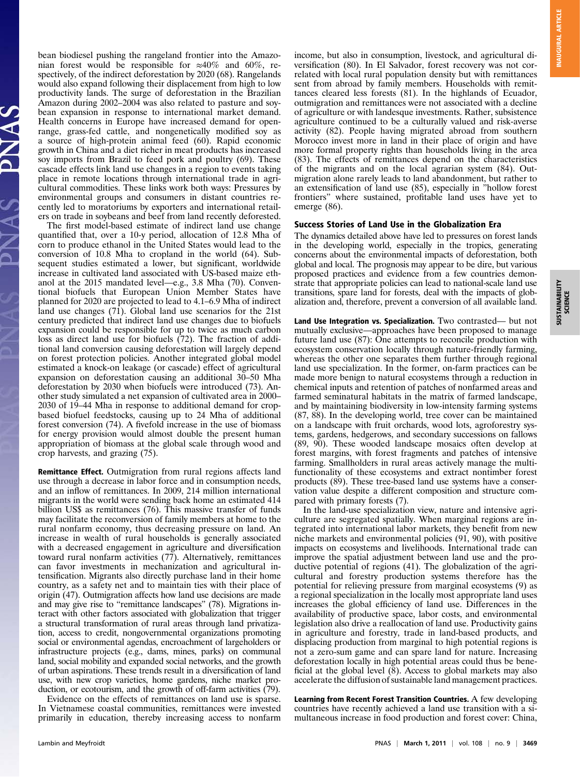bean biodiesel pushing the rangeland frontier into the Amazonian forest would be responsible for  $\approx 40\%$  and 60%, respectively, of the indirect deforestation by 2020 (68). Rangelands would also expand following their displacement from high to low productivity lands. The surge of deforestation in the Brazilian Amazon during 2002–2004 was also related to pasture and soybean expansion in response to international market demand. Health concerns in Europe have increased demand for openrange, grass-fed cattle, and nongenetically modified soy as a source of high-protein animal feed (60). Rapid economic growth in China and a diet richer in meat products has increased soy imports from Brazil to feed pork and poultry (69). These cascade effects link land use changes in a region to events taking place in remote locations through international trade in agricultural commodities. These links work both ways: Pressures by environmental groups and consumers in distant countries recently led to moratoriums by exporters and international retailers on trade in soybeans and beef from land recently deforested.

The first model-based estimate of indirect land use change quantified that, over a 10-y period, allocation of 12.8 Mha of corn to produce ethanol in the United States would lead to the conversion of 10.8 Mha to cropland in the world (64). Subsequent studies estimated a lower, but significant, worldwide increase in cultivated land associated with US-based maize ethanol at the 2015 mandated level—e.g., 3.8 Mha (70). Conventional biofuels that European Union Member States have planned for 2020 are projected to lead to 4.1–6.9 Mha of indirect land use changes (71). Global land use scenarios for the 21st century predicted that indirect land use changes due to biofuels expansion could be responsible for up to twice as much carbon loss as direct land use for biofuels (72). The fraction of additional land conversion causing deforestation will largely depend on forest protection policies. Another integrated global model estimated a knock-on leakage (or cascade) effect of agricultural expansion on deforestation causing an additional 30–50 Mha deforestation by 2030 when biofuels were introduced (73). Another study simulated a net expansion of cultivated area in 2000– 2030 of 19–44 Mha in response to additional demand for cropbased biofuel feedstocks, causing up to 24 Mha of additional forest conversion (74). A fivefold increase in the use of biomass for energy provision would almost double the present human appropriation of biomass at the global scale through wood and crop harvests, and grazing (75).

Remittance Effect. Outmigration from rural regions affects land use through a decrease in labor force and in consumption needs, and an inflow of remittances. In 2009, 214 million international migrants in the world were sending back home an estimated 414 billion US\$ as remittances (76). This massive transfer of funds may facilitate the reconversion of family members at home to the rural nonfarm economy, thus decreasing pressure on land. An increase in wealth of rural households is generally associated with a decreased engagement in agriculture and diversification toward rural nonfarm activities (77). Alternatively, remittances can favor investments in mechanization and agricultural intensification. Migrants also directly purchase land in their home country, as a safety net and to maintain ties with their place of origin (47). Outmigration affects how land use decisions are made and may give rise to "remittance landscapes" (78). Migrations interact with other factors associated with globalization that trigger a structural transformation of rural areas through land privatization, access to credit, nongovernmental organizations promoting social or environmental agendas, encroachment of largeholders or infrastructure projects (e.g., dams, mines, parks) on communal land, social mobility and expanded social networks, and the growth of urban aspirations. These trends result in a diversification of land use, with new crop varieties, home gardens, niche market production, or ecotourism, and the growth of off-farm activities (79).

Evidence on the effects of remittances on land use is sparse. In Vietnamese coastal communities, remittances were invested primarily in education, thereby increasing access to nonfarm income, but also in consumption, livestock, and agricultural diversification (80). In El Salvador, forest recovery was not correlated with local rural population density but with remittances sent from abroad by family members. Households with remittances cleared less forests (81). In the highlands of Ecuador, outmigration and remittances were not associated with a decline of agriculture or with landesque investments. Rather, subsistence agriculture continued to be a culturally valued and risk-averse activity (82). People having migrated abroad from southern Morocco invest more in land in their place of origin and have more formal property rights than households living in the area (83). The effects of remittances depend on the characteristics of the migrants and on the local agrarian system (84). Outmigration alone rarely leads to land abandonment, but rather to an extensification of land use (85), especially in "hollow forest frontiers" where sustained, profitable land uses have yet to emerge (86).

## Success Stories of Land Use in the Globalization Era

The dynamics detailed above have led to pressures on forest lands in the developing world, especially in the tropics, generating concerns about the environmental impacts of deforestation, both global and local. The prognosis may appear to be dire, but various proposed practices and evidence from a few countries demonstrate that appropriate policies can lead to national-scale land use transitions, spare land for forests, deal with the impacts of globalization and, therefore, prevent a conversion of all available land.

Land Use Integration vs. Specialization. Two contrasted— but not mutually exclusive—approaches have been proposed to manage future land use (87): One attempts to reconcile production with ecosystem conservation locally through nature-friendly farming, whereas the other one separates them further through regional land use specialization. In the former, on-farm practices can be made more benign to natural ecosystems through a reduction in chemical inputs and retention of patches of nonfarmed areas and farmed seminatural habitats in the matrix of farmed landscape, and by maintaining biodiversity in low-intensity farming systems (87, 88). In the developing world, tree cover can be maintained on a landscape with fruit orchards, wood lots, agroforestry systems, gardens, hedgerows, and secondary successions on fallows (89, 90). These wooded landscape mosaics often develop at forest margins, with forest fragments and patches of intensive farming. Smallholders in rural areas actively manage the multifunctionality of these ecosystems and extract nontimber forest products (89). These tree-based land use systems have a conservation value despite a different composition and structure compared with primary forests (7).

In the land-use specialization view, nature and intensive agriculture are segregated spatially. When marginal regions are integrated into international labor markets, they benefit from new niche markets and environmental policies (91, 90), with positive impacts on ecosystems and livelihoods. International trade can improve the spatial adjustment between land use and the productive potential of regions (41). The globalization of the agricultural and forestry production systems therefore has the potential for relieving pressure from marginal ecosystems (9) as a regional specialization in the locally most appropriate land uses increases the global efficiency of land use. Differences in the availability of productive space, labor costs, and environmental legislation also drive a reallocation of land use. Productivity gains in agriculture and forestry, trade in land-based products, and displacing production from marginal to high potential regions is not a zero-sum game and can spare land for nature. Increasing deforestation locally in high potential areas could thus be beneficial at the global level  $(\bar{8})$ . Access to global markets may also accelerate the diffusion of sustainable land management practices.

Learning from Recent Forest Transition Countries. A few developing countries have recently achieved a land use transition with a simultaneous increase in food production and forest cover: China,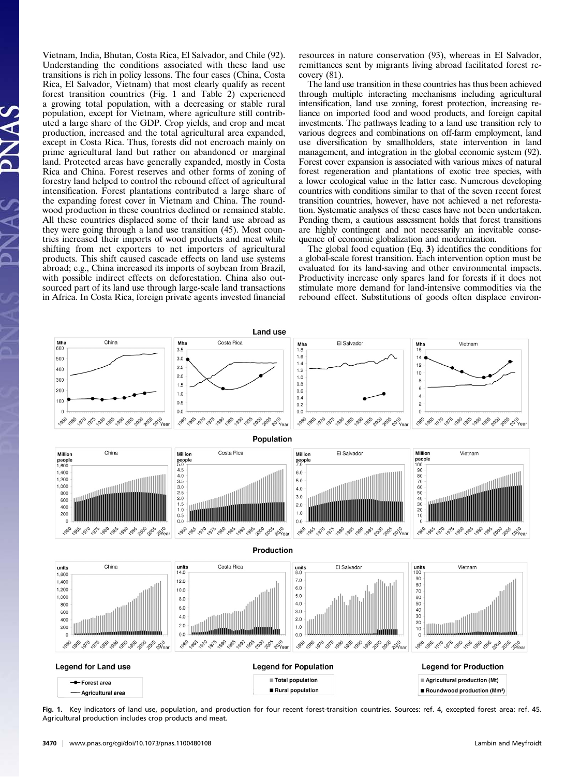Vietnam, India, Bhutan, Costa Rica, El Salvador, and Chile (92). Understanding the conditions associated with these land use transitions is rich in policy lessons. The four cases (China, Costa Rica, El Salvador, Vietnam) that most clearly qualify as recent forest transition countries (Fig. 1 and Table 2) experienced a growing total population, with a decreasing or stable rural population, except for Vietnam, where agriculture still contributed a large share of the GDP. Crop yields, and crop and meat production, increased and the total agricultural area expanded, except in Costa Rica. Thus, forests did not encroach mainly on prime agricultural land but rather on abandoned or marginal land. Protected areas have generally expanded, mostly in Costa Rica and China. Forest reserves and other forms of zoning of forestry land helped to control the rebound effect of agricultural intensification. Forest plantations contributed a large share of the expanding forest cover in Vietnam and China. The roundwood production in these countries declined or remained stable. All these countries displaced some of their land use abroad as they were going through a land use transition (45). Most countries increased their imports of wood products and meat while shifting from net exporters to net importers of agricultural products. This shift caused cascade effects on land use systems abroad; e.g., China increased its imports of soybean from Brazil, with possible indirect effects on deforestation. China also outsourced part of its land use through large-scale land transactions in Africa. In Costa Rica, foreign private agents invested financial

resources in nature conservation (93), whereas in El Salvador, remittances sent by migrants living abroad facilitated forest recovery  $(81)$ .

The land use transition in these countries has thus been achieved through multiple interacting mechanisms including agricultural intensification, land use zoning, forest protection, increasing reliance on imported food and wood products, and foreign capital investments. The pathways leading to a land use transition rely to various degrees and combinations on off-farm employment, land use diversification by smallholders, state intervention in land management, and integration in the global economic system (92). Forest cover expansion is associated with various mixes of natural forest regeneration and plantations of exotic tree species, with a lower ecological value in the latter case. Numerous developing countries with conditions similar to that of the seven recent forest transition countries, however, have not achieved a net reforestation. Systematic analyses of these cases have not been undertaken. Pending them, a cautious assessment holds that forest transitions are highly contingent and not necessarily an inevitable consequence of economic globalization and modernization.

The global food equation (Eq. 3) identifies the conditions for a global-scale forest transition. Each intervention option must be evaluated for its land-saving and other environmental impacts. Productivity increase only spares land for forests if it does not stimulate more demand for land-intensive commodities via the rebound effect. Substitutions of goods often displace environ-



Fig. 1. Key indicators of land use, population, and production for four recent forest-transition countries. Sources: ref. 4, excepted forest area: ref. 45. Agricultural production includes crop products and meat.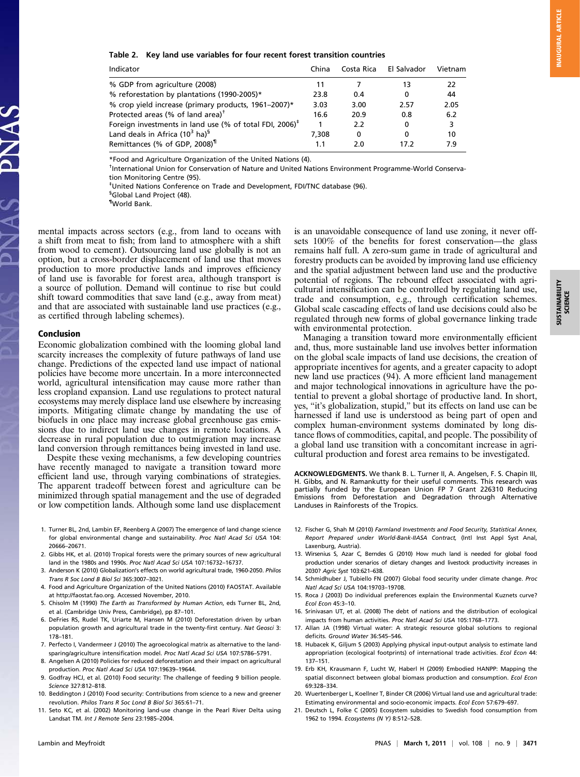#### Table 2. Key land use variables for four recent forest transition countries

| Indicator                                                                        | China | Costa Rica | El Salvador | Vietnam |
|----------------------------------------------------------------------------------|-------|------------|-------------|---------|
| % GDP from agriculture (2008)                                                    | 11    |            | 13          | 22      |
| % reforestation by plantations (1990-2005)*                                      | 23.8  | 0.4        | 0           | 44      |
| % crop yield increase (primary products, 1961-2007)*                             | 3.03  | 3.00       | 2.57        | 2.05    |
| Protected areas (% of land area) <sup>†</sup>                                    |       | 20.9       | 0.8         | 6.2     |
| Foreign investments in land use (% of total FDI, 2006) <sup><math>+</math></sup> | 1     | 2.2        | 0           |         |
| Land deals in Africa $(10^3$ ha) <sup>§</sup>                                    | 7.308 | 0          | 0           | 10      |
| Remittances (% of GDP, 2008) <sup>1</sup>                                        | 1.1   | 2.0        | 17.2        | 7.9     |

\*Food and Agriculture Organization of the United Nations (4).

† International Union for Conservation of Nature and United Nations Environment Programme-World Conservation Monitoring Centre (95).

‡ United Nations Conference on Trade and Development, FDI/TNC database (96).

<sup>§</sup>Global Land Project (48).

¶ World Bank.

mental impacts across sectors (e.g., from land to oceans with a shift from meat to fish; from land to atmosphere with a shift from wood to cement). Outsourcing land use globally is not an option, but a cross-border displacement of land use that moves production to more productive lands and improves efficiency of land use is favorable for forest area, although transport is a source of pollution. Demand will continue to rise but could shift toward commodities that save land (e.g., away from meat) and that are associated with sustainable land use practices (e.g., as certified through labeling schemes).

#### Conclusion

Economic globalization combined with the looming global land scarcity increases the complexity of future pathways of land use change. Predictions of the expected land use impact of national policies have become more uncertain. In a more interconnected world, agricultural intensification may cause more rather than less cropland expansion. Land use regulations to protect natural ecosystems may merely displace land use elsewhere by increasing imports. Mitigating climate change by mandating the use of biofuels in one place may increase global greenhouse gas emissions due to indirect land use changes in remote locations. A decrease in rural population due to outmigration may increase land conversion through remittances being invested in land use.

Despite these vexing mechanisms, a few developing countries have recently managed to navigate a transition toward more efficient land use, through varying combinations of strategies. The apparent tradeoff between forest and agriculture can be minimized through spatial management and the use of degraded or low competition lands. Although some land use displacement

- 1. Turner BL, 2nd, Lambin EF, Reenberg A (2007) The emergence of land change science for global environmental change and sustainability. Proc Natl Acad Sci USA 104: 20666–20671.
- 2. Gibbs HK, et al. (2010) Tropical forests were the primary sources of new agricultural land in the 1980s and 1990s. Proc Natl Acad Sci USA 107:16732–16737.
- 3. Anderson K (2010) Globalization's effects on world agricultural trade, 1960-2050. Philos Trans R Soc Lond B Biol Sci 365:3007–3021.
- 4. Food and Agriculture Organization of the United Nations (2010) FAOSTAT. Available at [http://faostat.fao.org.](http://faostat.fao.org/) Accessed November, 2010.
- 5. Chisolm M (1990) The Earth as Transformed by Human Action, eds Turner BL, 2nd, et al. (Cambridge Univ Press, Cambridge), pp 87–101.
- 6. DeFries RS, Rudel TK, Uriarte M, Hansen M (2010) Deforestation driven by urban population growth and agricultural trade in the twenty-first century. Nat Geosci 3: 178–181.
- 7. Perfecto I, Vandermeer J (2010) The agroecological matrix as alternative to the landsparing/agriculture intensification model. Proc Natl Acad Sci USA 107:5786–5791.
- 8. Angelsen A (2010) Policies for reduced deforestation and their impact on agricultural production. Proc Natl Acad Sci USA 107:19639–19644.
- 9. Godfray HCJ, et al. (2010) Food security: The challenge of feeding 9 billion people. Science 327:812–818.
- 10. Beddington J (2010) Food security: Contributions from science to a new and greener revolution. Philos Trans R Soc Lond B Biol Sci 365:61–71.
- 11. Seto KC, et al. (2002) Monitoring land-use change in the Pearl River Delta using Landsat TM. Int J Remote Sens 23:1985–2004.

is an unavoidable consequence of land use zoning, it never offsets 100% of the benefits for forest conservation—the glass remains half full. A zero-sum game in trade of agricultural and forestry products can be avoided by improving land use efficiency and the spatial adjustment between land use and the productive potential of regions. The rebound effect associated with agricultural intensification can be controlled by regulating land use, trade and consumption, e.g., through certification schemes. Global scale cascading effects of land use decisions could also be regulated through new forms of global governance linking trade with environmental protection.

Managing a transition toward more environmentally efficient and, thus, more sustainable land use involves better information on the global scale impacts of land use decisions, the creation of appropriate incentives for agents, and a greater capacity to adopt new land use practices (94). A more efficient land management and major technological innovations in agriculture have the potential to prevent a global shortage of productive land. In short, yes, "it's globalization, stupid," but its effects on land use can be harnessed if land use is understood as being part of open and complex human-environment systems dominated by long distance flows of commodities, capital, and people. The possibility of a global land use transition with a concomitant increase in agricultural production and forest area remains to be investigated.

ACKNOWLEDGMENTS. We thank B. L. Turner II, A. Angelsen, F. S. Chapin III, H. Gibbs, and N. Ramankutty for their useful comments. This research was partially funded by the European Union FP 7 Grant 226310 Reducing Emissions from Deforestation and Degradation through Alternative Landuses in Rainforests of the Tropics.

- 12. Fischer G, Shah M (2010) Farmland Investments and Food Security, Statistical Annex, Report Prepared under World-Bank-IIASA Contract, (Intl Inst Appl Syst Anal, Laxenburg, Austria).
- 13. Wirsenius S, Azar C, Berndes G (2010) How much land is needed for global food production under scenarios of dietary changes and livestock productivity increases in 2030? Agric Syst 103:621–638.
- 14. Schmidhuber J, Tubiello FN (2007) Global food security under climate change. Proc Natl Acad Sci USA 104:19703–19708.
- 15. Roca J (2003) Do individual preferences explain the Environmental Kuznets curve? Ecol Econ 45:3–10.
- 16. Srinivasan UT, et al. (2008) The debt of nations and the distribution of ecological impacts from human activities. Proc Natl Acad Sci USA 105:1768–1773.
- 17. Allan JA (1998) Virtual water: A strategic resource global solutions to regional deficits. Ground Water 36:545–546.
- 18. Hubacek K, Giljum S (2003) Applying physical input-output analysis to estimate land appropriation (ecological footprints) of international trade activities. Ecol Econ 44: 137–151.
- 19. Erb KH, Krausmann F, Lucht W, Haberl H (2009) Embodied HANPP: Mapping the spatial disconnect between global biomass production and consumption. Ecol Econ 69:328–334.
- 20. Wuertenberger L, Koellner T, Binder CR (2006) Virtual land use and agricultural trade: Estimating environmental and socio-economic impacts. Ecol Econ 57:679–697.
- 21. Deutsch L, Folke C (2005) Ecosystem subsidies to Swedish food consumption from 1962 to 1994. Ecosystems (N Y) 8:512–528.